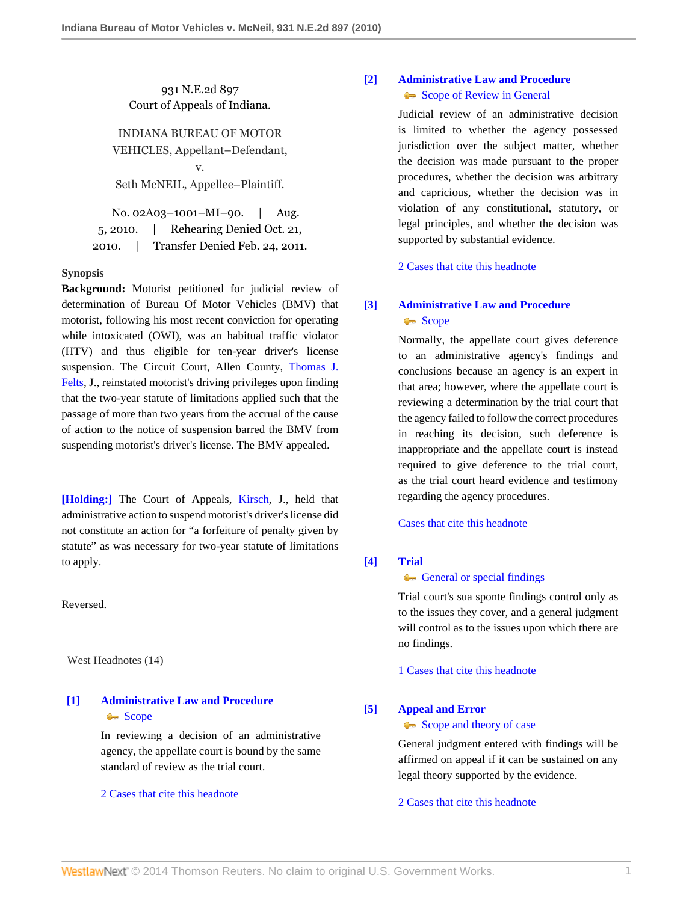931 N.E.2d 897 Court of Appeals of Indiana.

# INDIANA BUREAU OF MOTOR VEHICLES, Appellant–Defendant,

v.

Seth McNEIL, Appellee–Plaintiff.

|          | No. 02A03-1001-MI-90.          | Aug. |
|----------|--------------------------------|------|
| 5, 2010. | Rehearing Denied Oct. 21,      |      |
| 2010.    | Transfer Denied Feb. 24, 2011. |      |

# **Synopsis**

**Background:** Motorist petitioned for judicial review of determination of Bureau Of Motor Vehicles (BMV) that motorist, following his most recent conviction for operating while intoxicated (OWI), was an habitual traffic violator (HTV) and thus eligible for ten-year driver's license suspension. The Circuit Court, Allen County, [Thomas J.](http://www.westlaw.com/Link/Document/FullText?findType=h&pubNum=176284&cite=0333861501&originatingDoc=Ica543ff1a10d11df9e7e99923e8f11b0&refType=RQ&originationContext=document&vr=3.0&rs=cblt1.0&transitionType=DocumentItem&contextData=(sc.Search)) [Felts](http://www.westlaw.com/Link/Document/FullText?findType=h&pubNum=176284&cite=0333861501&originatingDoc=Ica543ff1a10d11df9e7e99923e8f11b0&refType=RQ&originationContext=document&vr=3.0&rs=cblt1.0&transitionType=DocumentItem&contextData=(sc.Search)), J., reinstated motorist's driving privileges upon finding that the two-year statute of limitations applied such that the passage of more than two years from the accrual of the cause of action to the notice of suspension barred the BMV from suspending motorist's driver's license. The BMV appealed.

**[\[Holding:\]](#page-1-0)** The Court of Appeals, [Kirsch](http://www.westlaw.com/Link/Document/FullText?findType=h&pubNum=176284&cite=0169261001&originatingDoc=Ica543ff1a10d11df9e7e99923e8f11b0&refType=RQ&originationContext=document&vr=3.0&rs=cblt1.0&transitionType=DocumentItem&contextData=(sc.Search)), J., held that administrative action to suspend motorist's driver's license did not constitute an action for "a forfeiture of penalty given by statute" as was necessary for two-year statute of limitations to apply.

Reversed.

West Headnotes (14)

# <span id="page-0-0"></span>**[\[1\]](#page-2-0) [Administrative Law and Procedure](http://www.westlaw.com/Browse/Home/KeyNumber/15A/View.html?docGuid=Ica543ff1a10d11df9e7e99923e8f11b0&originationContext=document&vr=3.0&rs=cblt1.0&transitionType=DocumentItem&contextData=(sc.Search))** [Scope](http://www.westlaw.com/Browse/Home/KeyNumber/15Ak683/View.html?docGuid=Ica543ff1a10d11df9e7e99923e8f11b0&originationContext=document&vr=3.0&rs=cblt1.0&transitionType=DocumentItem&contextData=(sc.Search)) Scope

In reviewing a decision of an administrative agency, the appellate court is bound by the same standard of review as the trial court.

# [2 Cases that cite this headnote](http://www.westlaw.com/Link/RelatedInformation/DocHeadnoteLink?docGuid=Ica543ff1a10d11df9e7e99923e8f11b0&headnoteId=202270359600120110303140438&originationContext=document&vr=3.0&rs=cblt1.0&transitionType=CitingReferences&contextData=(sc.Search))

# <span id="page-0-1"></span>**[\[2\]](#page-2-1) [Administrative Law and Procedure](http://www.westlaw.com/Browse/Home/KeyNumber/15A/View.html?docGuid=Ica543ff1a10d11df9e7e99923e8f11b0&originationContext=document&vr=3.0&rs=cblt1.0&transitionType=DocumentItem&contextData=(sc.Search))** [Scope of Review in General](http://www.westlaw.com/Browse/Home/KeyNumber/15AV(D)/View.html?docGuid=Ica543ff1a10d11df9e7e99923e8f11b0&originationContext=document&vr=3.0&rs=cblt1.0&transitionType=DocumentItem&contextData=(sc.Search))

Judicial review of an administrative decision is limited to whether the agency possessed jurisdiction over the subject matter, whether the decision was made pursuant to the proper procedures, whether the decision was arbitrary and capricious, whether the decision was in violation of any constitutional, statutory, or legal principles, and whether the decision was supported by substantial evidence.

[2 Cases that cite this headnote](http://www.westlaw.com/Link/RelatedInformation/DocHeadnoteLink?docGuid=Ica543ff1a10d11df9e7e99923e8f11b0&headnoteId=202270359600220110303140438&originationContext=document&vr=3.0&rs=cblt1.0&transitionType=CitingReferences&contextData=(sc.Search))

# <span id="page-0-2"></span>**[\[3\]](#page-2-2) [Administrative Law and Procedure](http://www.westlaw.com/Browse/Home/KeyNumber/15A/View.html?docGuid=Ica543ff1a10d11df9e7e99923e8f11b0&originationContext=document&vr=3.0&rs=cblt1.0&transitionType=DocumentItem&contextData=(sc.Search))** [Scope](http://www.westlaw.com/Browse/Home/KeyNumber/15Ak683/View.html?docGuid=Ica543ff1a10d11df9e7e99923e8f11b0&originationContext=document&vr=3.0&rs=cblt1.0&transitionType=DocumentItem&contextData=(sc.Search))

Normally, the appellate court gives deference to an administrative agency's findings and conclusions because an agency is an expert in that area; however, where the appellate court is reviewing a determination by the trial court that the agency failed to follow the correct procedures in reaching its decision, such deference is inappropriate and the appellate court is instead required to give deference to the trial court, as the trial court heard evidence and testimony regarding the agency procedures.

[Cases that cite this headnote](http://www.westlaw.com/Link/RelatedInformation/DocHeadnoteLink?docGuid=Ica543ff1a10d11df9e7e99923e8f11b0&headnoteId=202270359600320110303140438&originationContext=document&vr=3.0&rs=cblt1.0&transitionType=CitingReferences&contextData=(sc.Search))

# <span id="page-0-3"></span>**[\[4\]](#page-3-0) [Trial](http://www.westlaw.com/Browse/Home/KeyNumber/388/View.html?docGuid=Ica543ff1a10d11df9e7e99923e8f11b0&originationContext=document&vr=3.0&rs=cblt1.0&transitionType=DocumentItem&contextData=(sc.Search))**

# [General or special findings](http://www.westlaw.com/Browse/Home/KeyNumber/388k404(4)/View.html?docGuid=Ica543ff1a10d11df9e7e99923e8f11b0&originationContext=document&vr=3.0&rs=cblt1.0&transitionType=DocumentItem&contextData=(sc.Search))

Trial court's sua sponte findings control only as to the issues they cover, and a general judgment will control as to the issues upon which there are no findings.

[1 Cases that cite this headnote](http://www.westlaw.com/Link/RelatedInformation/DocHeadnoteLink?docGuid=Ica543ff1a10d11df9e7e99923e8f11b0&headnoteId=202270359600420110303140438&originationContext=document&vr=3.0&rs=cblt1.0&transitionType=CitingReferences&contextData=(sc.Search))

# <span id="page-0-4"></span>**[\[5\]](#page-3-1) [Appeal and Error](http://www.westlaw.com/Browse/Home/KeyNumber/30/View.html?docGuid=Ica543ff1a10d11df9e7e99923e8f11b0&originationContext=document&vr=3.0&rs=cblt1.0&transitionType=DocumentItem&contextData=(sc.Search))** [Scope and theory of case](http://www.westlaw.com/Browse/Home/KeyNumber/30k852/View.html?docGuid=Ica543ff1a10d11df9e7e99923e8f11b0&originationContext=document&vr=3.0&rs=cblt1.0&transitionType=DocumentItem&contextData=(sc.Search))

# General judgment entered with findings will be

affirmed on appeal if it can be sustained on any legal theory supported by the evidence.

[2 Cases that cite this headnote](http://www.westlaw.com/Link/RelatedInformation/DocHeadnoteLink?docGuid=Ica543ff1a10d11df9e7e99923e8f11b0&headnoteId=202270359600520110303140438&originationContext=document&vr=3.0&rs=cblt1.0&transitionType=CitingReferences&contextData=(sc.Search))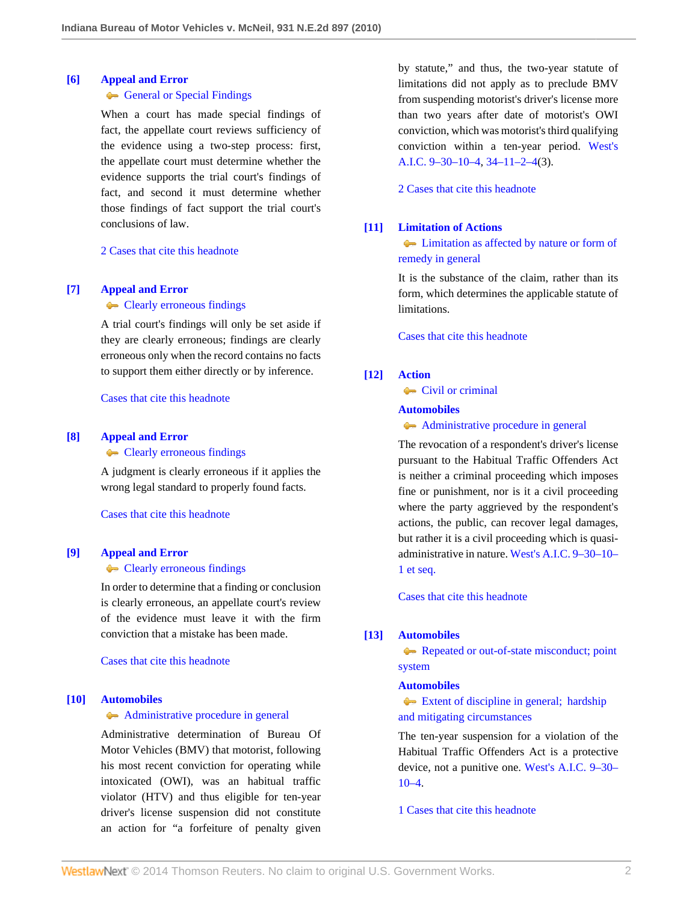#### <span id="page-1-1"></span>**[\[6\]](#page-3-2) [Appeal and Error](http://www.westlaw.com/Browse/Home/KeyNumber/30/View.html?docGuid=Ica543ff1a10d11df9e7e99923e8f11b0&originationContext=document&vr=3.0&rs=cblt1.0&transitionType=DocumentItem&contextData=(sc.Search))**

# [General or Special Findings](http://www.westlaw.com/Browse/Home/KeyNumber/30k850/View.html?docGuid=Ica543ff1a10d11df9e7e99923e8f11b0&originationContext=document&vr=3.0&rs=cblt1.0&transitionType=DocumentItem&contextData=(sc.Search))

When a court has made special findings of fact, the appellate court reviews sufficiency of the evidence using a two-step process: first, the appellate court must determine whether the evidence supports the trial court's findings of fact, and second it must determine whether those findings of fact support the trial court's conclusions of law.

[2 Cases that cite this headnote](http://www.westlaw.com/Link/RelatedInformation/DocHeadnoteLink?docGuid=Ica543ff1a10d11df9e7e99923e8f11b0&headnoteId=202270359600620110303140438&originationContext=document&vr=3.0&rs=cblt1.0&transitionType=CitingReferences&contextData=(sc.Search))

# <span id="page-1-2"></span>**[\[7\]](#page-3-3) [Appeal and Error](http://www.westlaw.com/Browse/Home/KeyNumber/30/View.html?docGuid=Ica543ff1a10d11df9e7e99923e8f11b0&originationContext=document&vr=3.0&rs=cblt1.0&transitionType=DocumentItem&contextData=(sc.Search))**

### **[Clearly erroneous findings](http://www.westlaw.com/Browse/Home/KeyNumber/30k1008.1(5)/View.html?docGuid=Ica543ff1a10d11df9e7e99923e8f11b0&originationContext=document&vr=3.0&rs=cblt1.0&transitionType=DocumentItem&contextData=(sc.Search))**

A trial court's findings will only be set aside if they are clearly erroneous; findings are clearly erroneous only when the record contains no facts to support them either directly or by inference.

[Cases that cite this headnote](http://www.westlaw.com/Link/RelatedInformation/DocHeadnoteLink?docGuid=Ica543ff1a10d11df9e7e99923e8f11b0&headnoteId=202270359600720110303140438&originationContext=document&vr=3.0&rs=cblt1.0&transitionType=CitingReferences&contextData=(sc.Search))

#### <span id="page-1-3"></span>**[\[8\]](#page-3-4) [Appeal and Error](http://www.westlaw.com/Browse/Home/KeyNumber/30/View.html?docGuid=Ica543ff1a10d11df9e7e99923e8f11b0&originationContext=document&vr=3.0&rs=cblt1.0&transitionType=DocumentItem&contextData=(sc.Search))**

**[Clearly erroneous findings](http://www.westlaw.com/Browse/Home/KeyNumber/30k1008.1(5)/View.html?docGuid=Ica543ff1a10d11df9e7e99923e8f11b0&originationContext=document&vr=3.0&rs=cblt1.0&transitionType=DocumentItem&contextData=(sc.Search))** 

A judgment is clearly erroneous if it applies the wrong legal standard to properly found facts.

[Cases that cite this headnote](http://www.westlaw.com/Link/RelatedInformation/DocHeadnoteLink?docGuid=Ica543ff1a10d11df9e7e99923e8f11b0&headnoteId=202270359600820110303140438&originationContext=document&vr=3.0&rs=cblt1.0&transitionType=CitingReferences&contextData=(sc.Search))

#### <span id="page-1-4"></span>**[\[9\]](#page-3-5) [Appeal and Error](http://www.westlaw.com/Browse/Home/KeyNumber/30/View.html?docGuid=Ica543ff1a10d11df9e7e99923e8f11b0&originationContext=document&vr=3.0&rs=cblt1.0&transitionType=DocumentItem&contextData=(sc.Search))**

#### **[Clearly erroneous findings](http://www.westlaw.com/Browse/Home/KeyNumber/30k1008.1(5)/View.html?docGuid=Ica543ff1a10d11df9e7e99923e8f11b0&originationContext=document&vr=3.0&rs=cblt1.0&transitionType=DocumentItem&contextData=(sc.Search))**

In order to determine that a finding or conclusion is clearly erroneous, an appellate court's review of the evidence must leave it with the firm conviction that a mistake has been made.

[Cases that cite this headnote](http://www.westlaw.com/Link/RelatedInformation/DocHeadnoteLink?docGuid=Ica543ff1a10d11df9e7e99923e8f11b0&headnoteId=202270359600920110303140438&originationContext=document&vr=3.0&rs=cblt1.0&transitionType=CitingReferences&contextData=(sc.Search))

#### <span id="page-1-0"></span>**[\[10\]](#page-3-6) [Automobiles](http://www.westlaw.com/Browse/Home/KeyNumber/48A/View.html?docGuid=Ica543ff1a10d11df9e7e99923e8f11b0&originationContext=document&vr=3.0&rs=cblt1.0&transitionType=DocumentItem&contextData=(sc.Search))**

#### [Administrative procedure in general](http://www.westlaw.com/Browse/Home/KeyNumber/48Ak144.2(1)/View.html?docGuid=Ica543ff1a10d11df9e7e99923e8f11b0&originationContext=document&vr=3.0&rs=cblt1.0&transitionType=DocumentItem&contextData=(sc.Search))

Administrative determination of Bureau Of Motor Vehicles (BMV) that motorist, following his most recent conviction for operating while intoxicated (OWI), was an habitual traffic violator (HTV) and thus eligible for ten-year driver's license suspension did not constitute an action for "a forfeiture of penalty given

by statute," and thus, the two-year statute of limitations did not apply as to preclude BMV from suspending motorist's driver's license more than two years after date of motorist's OWI conviction, which was motorist's third qualifying conviction within a ten-year period. [West's](http://www.westlaw.com/Link/Document/FullText?findType=L&pubNum=1000009&cite=INS9-30-10-4&originatingDoc=Ica543ff1a10d11df9e7e99923e8f11b0&refType=LQ&originationContext=document&vr=3.0&rs=cblt1.0&transitionType=DocumentItem&contextData=(sc.Search)) [A.I.C. 9–30–10–4,](http://www.westlaw.com/Link/Document/FullText?findType=L&pubNum=1000009&cite=INS9-30-10-4&originatingDoc=Ica543ff1a10d11df9e7e99923e8f11b0&refType=LQ&originationContext=document&vr=3.0&rs=cblt1.0&transitionType=DocumentItem&contextData=(sc.Search)) [34–11–2–4\(](http://www.westlaw.com/Link/Document/FullText?findType=L&pubNum=1000009&cite=INS34-11-2-4&originatingDoc=Ica543ff1a10d11df9e7e99923e8f11b0&refType=LQ&originationContext=document&vr=3.0&rs=cblt1.0&transitionType=DocumentItem&contextData=(sc.Search))3).

[2 Cases that cite this headnote](http://www.westlaw.com/Link/RelatedInformation/DocHeadnoteLink?docGuid=Ica543ff1a10d11df9e7e99923e8f11b0&headnoteId=202270359601020110303140438&originationContext=document&vr=3.0&rs=cblt1.0&transitionType=CitingReferences&contextData=(sc.Search))

#### <span id="page-1-5"></span>**[\[11\]](#page-3-7) [Limitation of Actions](http://www.westlaw.com/Browse/Home/KeyNumber/241/View.html?docGuid=Ica543ff1a10d11df9e7e99923e8f11b0&originationContext=document&vr=3.0&rs=cblt1.0&transitionType=DocumentItem&contextData=(sc.Search))**

**Example 1** [Limitation as affected by nature or form of](http://www.westlaw.com/Browse/Home/KeyNumber/241k16/View.html?docGuid=Ica543ff1a10d11df9e7e99923e8f11b0&originationContext=document&vr=3.0&rs=cblt1.0&transitionType=DocumentItem&contextData=(sc.Search)) [remedy in general](http://www.westlaw.com/Browse/Home/KeyNumber/241k16/View.html?docGuid=Ica543ff1a10d11df9e7e99923e8f11b0&originationContext=document&vr=3.0&rs=cblt1.0&transitionType=DocumentItem&contextData=(sc.Search))

It is the substance of the claim, rather than its form, which determines the applicable statute of limitations.

[Cases that cite this headnote](http://www.westlaw.com/Link/RelatedInformation/DocHeadnoteLink?docGuid=Ica543ff1a10d11df9e7e99923e8f11b0&headnoteId=202270359601120110303140438&originationContext=document&vr=3.0&rs=cblt1.0&transitionType=CitingReferences&contextData=(sc.Search))

# <span id="page-1-6"></span>**[\[12\]](#page-3-8) [Action](http://www.westlaw.com/Browse/Home/KeyNumber/13/View.html?docGuid=Ica543ff1a10d11df9e7e99923e8f11b0&originationContext=document&vr=3.0&rs=cblt1.0&transitionType=DocumentItem&contextData=(sc.Search))**

**[Civil or criminal](http://www.westlaw.com/Browse/Home/KeyNumber/13k18/View.html?docGuid=Ica543ff1a10d11df9e7e99923e8f11b0&originationContext=document&vr=3.0&rs=cblt1.0&transitionType=DocumentItem&contextData=(sc.Search))** 

#### **[Automobiles](http://www.westlaw.com/Browse/Home/KeyNumber/48A/View.html?docGuid=Ica543ff1a10d11df9e7e99923e8f11b0&originationContext=document&vr=3.0&rs=cblt1.0&transitionType=DocumentItem&contextData=(sc.Search))**

[Administrative procedure in general](http://www.westlaw.com/Browse/Home/KeyNumber/48Ak144.2(1)/View.html?docGuid=Ica543ff1a10d11df9e7e99923e8f11b0&originationContext=document&vr=3.0&rs=cblt1.0&transitionType=DocumentItem&contextData=(sc.Search))

The revocation of a respondent's driver's license pursuant to the Habitual Traffic Offenders Act is neither a criminal proceeding which imposes fine or punishment, nor is it a civil proceeding where the party aggrieved by the respondent's actions, the public, can recover legal damages, but rather it is a civil proceeding which is quasiadministrative in nature. [West's A.I.C. 9–30–10–](http://www.westlaw.com/Link/Document/FullText?findType=L&pubNum=1000009&cite=INS9-30-10-1&originatingDoc=Ica543ff1a10d11df9e7e99923e8f11b0&refType=LQ&originationContext=document&vr=3.0&rs=cblt1.0&transitionType=DocumentItem&contextData=(sc.Search)) [1 et seq.](http://www.westlaw.com/Link/Document/FullText?findType=L&pubNum=1000009&cite=INS9-30-10-1&originatingDoc=Ica543ff1a10d11df9e7e99923e8f11b0&refType=LQ&originationContext=document&vr=3.0&rs=cblt1.0&transitionType=DocumentItem&contextData=(sc.Search))

[Cases that cite this headnote](http://www.westlaw.com/Link/RelatedInformation/DocHeadnoteLink?docGuid=Ica543ff1a10d11df9e7e99923e8f11b0&headnoteId=202270359601220110303140438&originationContext=document&vr=3.0&rs=cblt1.0&transitionType=CitingReferences&contextData=(sc.Search))

#### <span id="page-1-7"></span>**[\[13\]](#page-4-0) [Automobiles](http://www.westlaw.com/Browse/Home/KeyNumber/48A/View.html?docGuid=Ica543ff1a10d11df9e7e99923e8f11b0&originationContext=document&vr=3.0&rs=cblt1.0&transitionType=DocumentItem&contextData=(sc.Search))**

[Repeated or out-of-state misconduct; point](http://www.westlaw.com/Browse/Home/KeyNumber/48Ak144.1(3)/View.html?docGuid=Ica543ff1a10d11df9e7e99923e8f11b0&originationContext=document&vr=3.0&rs=cblt1.0&transitionType=DocumentItem&contextData=(sc.Search)) [system](http://www.westlaw.com/Browse/Home/KeyNumber/48Ak144.1(3)/View.html?docGuid=Ica543ff1a10d11df9e7e99923e8f11b0&originationContext=document&vr=3.0&rs=cblt1.0&transitionType=DocumentItem&contextData=(sc.Search))

#### **[Automobiles](http://www.westlaw.com/Browse/Home/KeyNumber/48A/View.html?docGuid=Ica543ff1a10d11df9e7e99923e8f11b0&originationContext=document&vr=3.0&rs=cblt1.0&transitionType=DocumentItem&contextData=(sc.Search))**

[Extent of discipline in general; hardship](http://www.westlaw.com/Browse/Home/KeyNumber/48Ak144.5/View.html?docGuid=Ica543ff1a10d11df9e7e99923e8f11b0&originationContext=document&vr=3.0&rs=cblt1.0&transitionType=DocumentItem&contextData=(sc.Search)) [and mitigating circumstances](http://www.westlaw.com/Browse/Home/KeyNumber/48Ak144.5/View.html?docGuid=Ica543ff1a10d11df9e7e99923e8f11b0&originationContext=document&vr=3.0&rs=cblt1.0&transitionType=DocumentItem&contextData=(sc.Search))

The ten-year suspension for a violation of the Habitual Traffic Offenders Act is a protective device, not a punitive one. [West's A.I.C. 9–30–](http://www.westlaw.com/Link/Document/FullText?findType=L&pubNum=1000009&cite=INS9-30-10-4&originatingDoc=Ica543ff1a10d11df9e7e99923e8f11b0&refType=LQ&originationContext=document&vr=3.0&rs=cblt1.0&transitionType=DocumentItem&contextData=(sc.Search))  $10-4.$ 

[1 Cases that cite this headnote](http://www.westlaw.com/Link/RelatedInformation/DocHeadnoteLink?docGuid=Ica543ff1a10d11df9e7e99923e8f11b0&headnoteId=202270359601320110303140438&originationContext=document&vr=3.0&rs=cblt1.0&transitionType=CitingReferences&contextData=(sc.Search))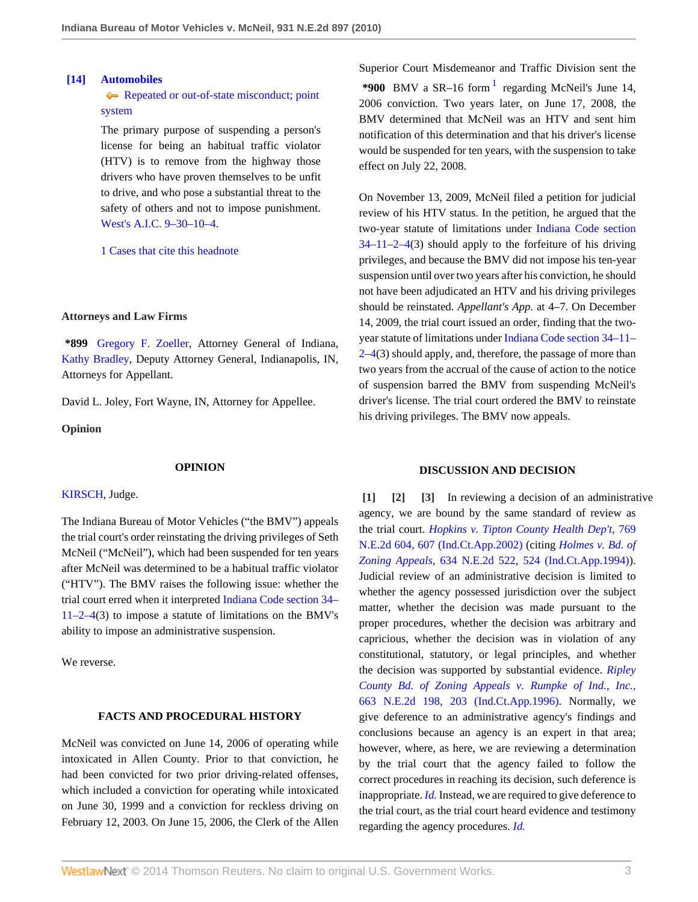# <span id="page-2-3"></span>**[\[14\]](#page-4-1) [Automobiles](http://www.westlaw.com/Browse/Home/KeyNumber/48A/View.html?docGuid=Ica543ff1a10d11df9e7e99923e8f11b0&originationContext=document&vr=3.0&rs=cblt1.0&transitionType=DocumentItem&contextData=(sc.Search))**

[Repeated or out-of-state misconduct; point](http://www.westlaw.com/Browse/Home/KeyNumber/48Ak144.1(3)/View.html?docGuid=Ica543ff1a10d11df9e7e99923e8f11b0&originationContext=document&vr=3.0&rs=cblt1.0&transitionType=DocumentItem&contextData=(sc.Search)) [system](http://www.westlaw.com/Browse/Home/KeyNumber/48Ak144.1(3)/View.html?docGuid=Ica543ff1a10d11df9e7e99923e8f11b0&originationContext=document&vr=3.0&rs=cblt1.0&transitionType=DocumentItem&contextData=(sc.Search))

The primary purpose of suspending a person's license for being an habitual traffic violator (HTV) is to remove from the highway those drivers who have proven themselves to be unfit to drive, and who pose a substantial threat to the safety of others and not to impose punishment. [West's A.I.C. 9–30–10–4](http://www.westlaw.com/Link/Document/FullText?findType=L&pubNum=1000009&cite=INS9-30-10-4&originatingDoc=Ica543ff1a10d11df9e7e99923e8f11b0&refType=LQ&originationContext=document&vr=3.0&rs=cblt1.0&transitionType=DocumentItem&contextData=(sc.Search)).

[1 Cases that cite this headnote](http://www.westlaw.com/Link/RelatedInformation/DocHeadnoteLink?docGuid=Ica543ff1a10d11df9e7e99923e8f11b0&headnoteId=202270359601420110303140438&originationContext=document&vr=3.0&rs=cblt1.0&transitionType=CitingReferences&contextData=(sc.Search))

#### **Attorneys and Law Firms**

**\*899** [Gregory F. Zoeller,](http://www.westlaw.com/Link/Document/FullText?findType=h&pubNum=176284&cite=0136038801&originatingDoc=Ica543ff1a10d11df9e7e99923e8f11b0&refType=RQ&originationContext=document&vr=3.0&rs=cblt1.0&transitionType=DocumentItem&contextData=(sc.Search)) Attorney General of Indiana, [Kathy Bradley](http://www.westlaw.com/Link/Document/FullText?findType=h&pubNum=176284&cite=0273525001&originatingDoc=Ica543ff1a10d11df9e7e99923e8f11b0&refType=RQ&originationContext=document&vr=3.0&rs=cblt1.0&transitionType=DocumentItem&contextData=(sc.Search)), Deputy Attorney General, Indianapolis, IN, Attorneys for Appellant.

David L. Joley, Fort Wayne, IN, Attorney for Appellee.

**Opinion**

#### **OPINION**

[KIRSCH,](http://www.westlaw.com/Link/Document/FullText?findType=h&pubNum=176284&cite=0169261001&originatingDoc=Ica543ff1a10d11df9e7e99923e8f11b0&refType=RQ&originationContext=document&vr=3.0&rs=cblt1.0&transitionType=DocumentItem&contextData=(sc.Search)) Judge.

The Indiana Bureau of Motor Vehicles ("the BMV") appeals the trial court's order reinstating the driving privileges of Seth McNeil ("McNeil"), which had been suspended for ten years after McNeil was determined to be a habitual traffic violator ("HTV"). The BMV raises the following issue: whether the trial court erred when it interpreted [Indiana Code section 34–](http://www.westlaw.com/Link/Document/FullText?findType=L&pubNum=1000009&cite=INS34-11-2-4&originatingDoc=Ica543ff1a10d11df9e7e99923e8f11b0&refType=LQ&originationContext=document&vr=3.0&rs=cblt1.0&transitionType=DocumentItem&contextData=(sc.Search)) [11–2–4](http://www.westlaw.com/Link/Document/FullText?findType=L&pubNum=1000009&cite=INS34-11-2-4&originatingDoc=Ica543ff1a10d11df9e7e99923e8f11b0&refType=LQ&originationContext=document&vr=3.0&rs=cblt1.0&transitionType=DocumentItem&contextData=(sc.Search))(3) to impose a statute of limitations on the BMV's ability to impose an administrative suspension.

We reverse.

# **FACTS AND PROCEDURAL HISTORY**

McNeil was convicted on June 14, 2006 of operating while intoxicated in Allen County. Prior to that conviction, he had been convicted for two prior driving-related offenses, which included a conviction for operating while intoxicated on June 30, 1999 and a conviction for reckless driving on February 12, 2003. On June 15, 2006, the Clerk of the Allen <span id="page-2-4"></span>Superior Court Misdemeanor and Traffic Division sent the  $*900$  BMV a SR-[1](#page-4-2)6 form  $1$  regarding McNeil's June 14, 2006 conviction. Two years later, on June 17, 2008, the BMV determined that McNeil was an HTV and sent him notification of this determination and that his driver's license would be suspended for ten years, with the suspension to take effect on July 22, 2008.

On November 13, 2009, McNeil filed a petition for judicial review of his HTV status. In the petition, he argued that the two-year statute of limitations under [Indiana Code section](http://www.westlaw.com/Link/Document/FullText?findType=L&pubNum=1000009&cite=INS34-11-2-4&originatingDoc=Ica543ff1a10d11df9e7e99923e8f11b0&refType=LQ&originationContext=document&vr=3.0&rs=cblt1.0&transitionType=DocumentItem&contextData=(sc.Search))  $34-11-2-4(3)$  should apply to the forfeiture of his driving privileges, and because the BMV did not impose his ten-year suspension until over two years after his conviction, he should not have been adjudicated an HTV and his driving privileges should be reinstated. *Appellant's App.* at 4–7. On December 14, 2009, the trial court issued an order, finding that the twoyear statute of limitations under [Indiana Code section 34–11–](http://www.westlaw.com/Link/Document/FullText?findType=L&pubNum=1000009&cite=INS34-11-2-4&originatingDoc=Ica543ff1a10d11df9e7e99923e8f11b0&refType=LQ&originationContext=document&vr=3.0&rs=cblt1.0&transitionType=DocumentItem&contextData=(sc.Search))  $2-4(3)$  should apply, and, therefore, the passage of more than two years from the accrual of the cause of action to the notice of suspension barred the BMV from suspending McNeil's driver's license. The trial court ordered the BMV to reinstate his driving privileges. The BMV now appeals.

# <span id="page-2-2"></span><span id="page-2-1"></span>**DISCUSSION AND DECISION**

<span id="page-2-0"></span>**[\[1\]](#page-0-0) [\[2\]](#page-0-1) [\[3](#page-0-2)]** In reviewing a decision of an administrative agency, we are bound by the same standard of review as the trial court. *[Hopkins v. Tipton County Health Dep't,](http://www.westlaw.com/Link/Document/FullText?findType=Y&serNum=2002342143&pubNum=578&fi=co_pp_sp_578_607&originationContext=document&vr=3.0&rs=cblt1.0&transitionType=DocumentItem&contextData=(sc.Search)#co_pp_sp_578_607)* 769 [N.E.2d 604, 607 \(Ind.Ct.App.2002\)](http://www.westlaw.com/Link/Document/FullText?findType=Y&serNum=2002342143&pubNum=578&fi=co_pp_sp_578_607&originationContext=document&vr=3.0&rs=cblt1.0&transitionType=DocumentItem&contextData=(sc.Search)#co_pp_sp_578_607) (citing *[Holmes v. Bd. of](http://www.westlaw.com/Link/Document/FullText?findType=Y&serNum=1994108882&pubNum=578&fi=co_pp_sp_578_524&originationContext=document&vr=3.0&rs=cblt1.0&transitionType=DocumentItem&contextData=(sc.Search)#co_pp_sp_578_524) Zoning Appeals,* [634 N.E.2d 522, 524 \(Ind.Ct.App.1994\)](http://www.westlaw.com/Link/Document/FullText?findType=Y&serNum=1994108882&pubNum=578&fi=co_pp_sp_578_524&originationContext=document&vr=3.0&rs=cblt1.0&transitionType=DocumentItem&contextData=(sc.Search)#co_pp_sp_578_524)). Judicial review of an administrative decision is limited to whether the agency possessed jurisdiction over the subject matter, whether the decision was made pursuant to the proper procedures, whether the decision was arbitrary and capricious, whether the decision was in violation of any constitutional, statutory, or legal principles, and whether the decision was supported by substantial evidence. *[Ripley](http://www.westlaw.com/Link/Document/FullText?findType=Y&serNum=1996078201&pubNum=578&fi=co_pp_sp_578_203&originationContext=document&vr=3.0&rs=cblt1.0&transitionType=DocumentItem&contextData=(sc.Search)#co_pp_sp_578_203) [County Bd. of Zoning Appeals v. Rumpke of Ind., Inc.,](http://www.westlaw.com/Link/Document/FullText?findType=Y&serNum=1996078201&pubNum=578&fi=co_pp_sp_578_203&originationContext=document&vr=3.0&rs=cblt1.0&transitionType=DocumentItem&contextData=(sc.Search)#co_pp_sp_578_203)* [663 N.E.2d 198, 203 \(Ind.Ct.App.1996\)](http://www.westlaw.com/Link/Document/FullText?findType=Y&serNum=1996078201&pubNum=578&fi=co_pp_sp_578_203&originationContext=document&vr=3.0&rs=cblt1.0&transitionType=DocumentItem&contextData=(sc.Search)#co_pp_sp_578_203). Normally, we give deference to an administrative agency's findings and conclusions because an agency is an expert in that area; however, where, as here, we are reviewing a determination by the trial court that the agency failed to follow the correct procedures in reaching its decision, such deference is inappropriate. *[Id.](http://www.westlaw.com/Link/Document/FullText?findType=Y&serNum=1996078201&originationContext=document&vr=3.0&rs=cblt1.0&transitionType=DocumentItem&contextData=(sc.Search))* Instead, we are required to give deference to the trial court, as the trial court heard evidence and testimony regarding the agency procedures. *[Id.](http://www.westlaw.com/Link/Document/FullText?findType=Y&serNum=1996078201&originationContext=document&vr=3.0&rs=cblt1.0&transitionType=DocumentItem&contextData=(sc.Search))*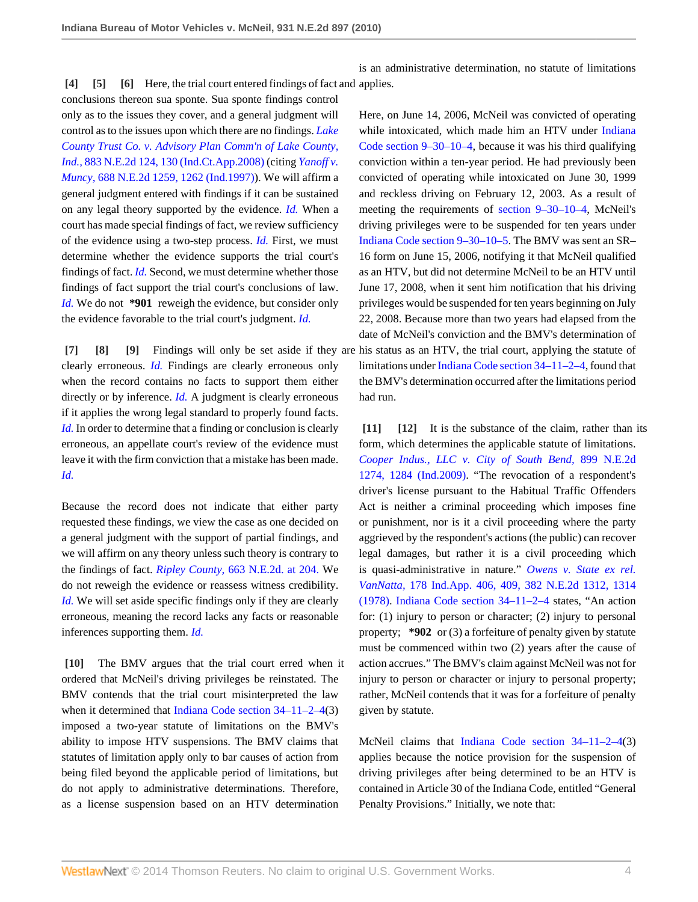is an administrative determination, no statute of limitations

<span id="page-3-2"></span><span id="page-3-1"></span><span id="page-3-0"></span>**[\[4\]](#page-0-3) [\[5\]](#page-0-4) [\[6](#page-1-1)]** Here, the trial court entered findings of fact and applies.

conclusions thereon sua sponte. Sua sponte findings control only as to the issues they cover, and a general judgment will control as to the issues upon which there are no findings. *[Lake](http://www.westlaw.com/Link/Document/FullText?findType=Y&serNum=2015526113&pubNum=578&fi=co_pp_sp_578_130&originationContext=document&vr=3.0&rs=cblt1.0&transitionType=DocumentItem&contextData=(sc.Search)#co_pp_sp_578_130) [County Trust Co. v. Advisory Plan Comm'n of Lake County,](http://www.westlaw.com/Link/Document/FullText?findType=Y&serNum=2015526113&pubNum=578&fi=co_pp_sp_578_130&originationContext=document&vr=3.0&rs=cblt1.0&transitionType=DocumentItem&contextData=(sc.Search)#co_pp_sp_578_130) Ind.,* [883 N.E.2d 124, 130 \(Ind.Ct.App.2008\)](http://www.westlaw.com/Link/Document/FullText?findType=Y&serNum=2015526113&pubNum=578&fi=co_pp_sp_578_130&originationContext=document&vr=3.0&rs=cblt1.0&transitionType=DocumentItem&contextData=(sc.Search)#co_pp_sp_578_130) (citing *[Yanoff v.](http://www.westlaw.com/Link/Document/FullText?findType=Y&serNum=1997247188&pubNum=578&fi=co_pp_sp_578_1262&originationContext=document&vr=3.0&rs=cblt1.0&transitionType=DocumentItem&contextData=(sc.Search)#co_pp_sp_578_1262) Muncy,* [688 N.E.2d 1259, 1262 \(Ind.1997\)](http://www.westlaw.com/Link/Document/FullText?findType=Y&serNum=1997247188&pubNum=578&fi=co_pp_sp_578_1262&originationContext=document&vr=3.0&rs=cblt1.0&transitionType=DocumentItem&contextData=(sc.Search)#co_pp_sp_578_1262)). We will affirm a general judgment entered with findings if it can be sustained on any legal theory supported by the evidence. *[Id.](http://www.westlaw.com/Link/Document/FullText?findType=Y&serNum=2015526113&originationContext=document&vr=3.0&rs=cblt1.0&transitionType=DocumentItem&contextData=(sc.Search))* When a court has made special findings of fact, we review sufficiency of the evidence using a two-step process. *[Id.](http://www.westlaw.com/Link/Document/FullText?findType=Y&serNum=2015526113&originationContext=document&vr=3.0&rs=cblt1.0&transitionType=DocumentItem&contextData=(sc.Search))* First, we must determine whether the evidence supports the trial court's findings of fact. *[Id.](http://www.westlaw.com/Link/Document/FullText?findType=Y&serNum=2015526113&originationContext=document&vr=3.0&rs=cblt1.0&transitionType=DocumentItem&contextData=(sc.Search))* Second, we must determine whether those findings of fact support the trial court's conclusions of law. *[Id.](http://www.westlaw.com/Link/Document/FullText?findType=Y&serNum=2015526113&originationContext=document&vr=3.0&rs=cblt1.0&transitionType=DocumentItem&contextData=(sc.Search))* We do not **\*901** reweigh the evidence, but consider only the evidence favorable to the trial court's judgment. *[Id.](http://www.westlaw.com/Link/Document/FullText?findType=Y&serNum=2015526113&originationContext=document&vr=3.0&rs=cblt1.0&transitionType=DocumentItem&contextData=(sc.Search))*

<span id="page-3-5"></span><span id="page-3-4"></span><span id="page-3-3"></span>clearly erroneous. *[Id.](http://www.westlaw.com/Link/Document/FullText?findType=Y&serNum=2015526113&originationContext=document&vr=3.0&rs=cblt1.0&transitionType=DocumentItem&contextData=(sc.Search))* Findings are clearly erroneous only when the record contains no facts to support them either directly or by inference. *[Id.](http://www.westlaw.com/Link/Document/FullText?findType=Y&serNum=2015526113&originationContext=document&vr=3.0&rs=cblt1.0&transitionType=DocumentItem&contextData=(sc.Search))* A judgment is clearly erroneous if it applies the wrong legal standard to properly found facts. *[Id.](http://www.westlaw.com/Link/Document/FullText?findType=Y&serNum=2015526113&originationContext=document&vr=3.0&rs=cblt1.0&transitionType=DocumentItem&contextData=(sc.Search))* In order to determine that a finding or conclusion is clearly erroneous, an appellate court's review of the evidence must leave it with the firm conviction that a mistake has been made. *[Id.](http://www.westlaw.com/Link/Document/FullText?findType=Y&serNum=2015526113&originationContext=document&vr=3.0&rs=cblt1.0&transitionType=DocumentItem&contextData=(sc.Search))*

Because the record does not indicate that either party requested these findings, we view the case as one decided on a general judgment with the support of partial findings, and we will affirm on any theory unless such theory is contrary to the findings of fact. *Ripley County,* [663 N.E.2d. at 204.](http://www.westlaw.com/Link/Document/FullText?findType=Y&serNum=1996078201&pubNum=578&fi=co_pp_sp_578_204&originationContext=document&vr=3.0&rs=cblt1.0&transitionType=DocumentItem&contextData=(sc.Search)#co_pp_sp_578_204) We do not reweigh the evidence or reassess witness credibility. *[Id.](http://www.westlaw.com/Link/Document/FullText?findType=Y&serNum=1996078201&originationContext=document&vr=3.0&rs=cblt1.0&transitionType=DocumentItem&contextData=(sc.Search))* We will set aside specific findings only if they are clearly erroneous, meaning the record lacks any facts or reasonable inferences supporting them. *[Id.](http://www.westlaw.com/Link/Document/FullText?findType=Y&serNum=1996078201&originationContext=document&vr=3.0&rs=cblt1.0&transitionType=DocumentItem&contextData=(sc.Search))*

<span id="page-3-6"></span>**[\[10\]](#page-1-0)** The BMV argues that the trial court erred when it ordered that McNeil's driving privileges be reinstated. The BMV contends that the trial court misinterpreted the law when it determined that [Indiana Code section 34–11–2–4](http://www.westlaw.com/Link/Document/FullText?findType=L&pubNum=1000009&cite=INS34-11-2-4&originatingDoc=Ica543ff1a10d11df9e7e99923e8f11b0&refType=LQ&originationContext=document&vr=3.0&rs=cblt1.0&transitionType=DocumentItem&contextData=(sc.Search))(3) imposed a two-year statute of limitations on the BMV's ability to impose HTV suspensions. The BMV claims that statutes of limitation apply only to bar causes of action from being filed beyond the applicable period of limitations, but do not apply to administrative determinations. Therefore, as a license suspension based on an HTV determination

**[\[7\]](#page-1-2) [\[8](#page-1-3)] [\[9\]](#page-1-4)** Findings will only be set aside if they are his status as an HTV, the trial court, applying the statute of Here, on June 14, 2006, McNeil was convicted of operating while intoxicated, which made him an HTV under [Indiana](http://www.westlaw.com/Link/Document/FullText?findType=L&pubNum=1000009&cite=INS9-30-10-4&originatingDoc=Ica543ff1a10d11df9e7e99923e8f11b0&refType=LQ&originationContext=document&vr=3.0&rs=cblt1.0&transitionType=DocumentItem&contextData=(sc.Search)) [Code section 9–30–10–4,](http://www.westlaw.com/Link/Document/FullText?findType=L&pubNum=1000009&cite=INS9-30-10-4&originatingDoc=Ica543ff1a10d11df9e7e99923e8f11b0&refType=LQ&originationContext=document&vr=3.0&rs=cblt1.0&transitionType=DocumentItem&contextData=(sc.Search)) because it was his third qualifying conviction within a ten-year period. He had previously been convicted of operating while intoxicated on June 30, 1999 and reckless driving on February 12, 2003. As a result of meeting the requirements of [section 9–30–10–4,](http://www.westlaw.com/Link/Document/FullText?findType=L&pubNum=1000009&cite=INS9-30-10-4&originatingDoc=Ica543ff1a10d11df9e7e99923e8f11b0&refType=LQ&originationContext=document&vr=3.0&rs=cblt1.0&transitionType=DocumentItem&contextData=(sc.Search)) McNeil's driving privileges were to be suspended for ten years under [Indiana Code section 9–30–10–5.](http://www.westlaw.com/Link/Document/FullText?findType=L&pubNum=1000009&cite=INS9-30-10-5&originatingDoc=Ica543ff1a10d11df9e7e99923e8f11b0&refType=LQ&originationContext=document&vr=3.0&rs=cblt1.0&transitionType=DocumentItem&contextData=(sc.Search)) The BMV was sent an SR– 16 form on June 15, 2006, notifying it that McNeil qualified as an HTV, but did not determine McNeil to be an HTV until June 17, 2008, when it sent him notification that his driving privileges would be suspended for ten years beginning on July 22, 2008. Because more than two years had elapsed from the date of McNeil's conviction and the BMV's determination of limitations under [Indiana Code section 34–11–2–4,](http://www.westlaw.com/Link/Document/FullText?findType=L&pubNum=1000009&cite=INS34-11-2-4&originatingDoc=Ica543ff1a10d11df9e7e99923e8f11b0&refType=LQ&originationContext=document&vr=3.0&rs=cblt1.0&transitionType=DocumentItem&contextData=(sc.Search)) found that the BMV's determination occurred after the limitations period had run.

> <span id="page-3-8"></span><span id="page-3-7"></span>**[\[11\]](#page-1-5) [\[12\]](#page-1-6)** It is the substance of the claim, rather than its form, which determines the applicable statute of limitations. *[Cooper Indus., LLC v. City of South Bend,](http://www.westlaw.com/Link/Document/FullText?findType=Y&serNum=2017929318&pubNum=578&fi=co_pp_sp_578_1284&originationContext=document&vr=3.0&rs=cblt1.0&transitionType=DocumentItem&contextData=(sc.Search)#co_pp_sp_578_1284)* 899 N.E.2d [1274, 1284 \(Ind.2009\).](http://www.westlaw.com/Link/Document/FullText?findType=Y&serNum=2017929318&pubNum=578&fi=co_pp_sp_578_1284&originationContext=document&vr=3.0&rs=cblt1.0&transitionType=DocumentItem&contextData=(sc.Search)#co_pp_sp_578_1284) "The revocation of a respondent's driver's license pursuant to the Habitual Traffic Offenders Act is neither a criminal proceeding which imposes fine or punishment, nor is it a civil proceeding where the party aggrieved by the respondent's actions (the public) can recover legal damages, but rather it is a civil proceeding which is quasi-administrative in nature." *[Owens v. State ex rel.](http://www.westlaw.com/Link/Document/FullText?findType=Y&serNum=1978127643&pubNum=578&fi=co_pp_sp_578_1314&originationContext=document&vr=3.0&rs=cblt1.0&transitionType=DocumentItem&contextData=(sc.Search)#co_pp_sp_578_1314) VanNatta,* [178 Ind.App. 406, 409, 382 N.E.2d 1312, 1314](http://www.westlaw.com/Link/Document/FullText?findType=Y&serNum=1978127643&pubNum=578&fi=co_pp_sp_578_1314&originationContext=document&vr=3.0&rs=cblt1.0&transitionType=DocumentItem&contextData=(sc.Search)#co_pp_sp_578_1314) [\(1978\).](http://www.westlaw.com/Link/Document/FullText?findType=Y&serNum=1978127643&pubNum=578&fi=co_pp_sp_578_1314&originationContext=document&vr=3.0&rs=cblt1.0&transitionType=DocumentItem&contextData=(sc.Search)#co_pp_sp_578_1314) [Indiana Code section 34–11–2–4](http://www.westlaw.com/Link/Document/FullText?findType=L&pubNum=1000009&cite=INS34-11-2-4&originatingDoc=Ica543ff1a10d11df9e7e99923e8f11b0&refType=LQ&originationContext=document&vr=3.0&rs=cblt1.0&transitionType=DocumentItem&contextData=(sc.Search)) states, "An action for: (1) injury to person or character; (2) injury to personal property; **\*902** or (3) a forfeiture of penalty given by statute must be commenced within two (2) years after the cause of action accrues." The BMV's claim against McNeil was not for injury to person or character or injury to personal property; rather, McNeil contends that it was for a forfeiture of penalty given by statute.

McNeil claims that [Indiana Code section 34–11–2–4](http://www.westlaw.com/Link/Document/FullText?findType=L&pubNum=1000009&cite=INS34-11-2-4&originatingDoc=Ica543ff1a10d11df9e7e99923e8f11b0&refType=LQ&originationContext=document&vr=3.0&rs=cblt1.0&transitionType=DocumentItem&contextData=(sc.Search))(3) applies because the notice provision for the suspension of driving privileges after being determined to be an HTV is contained in Article 30 of the Indiana Code, entitled "General Penalty Provisions." Initially, we note that: